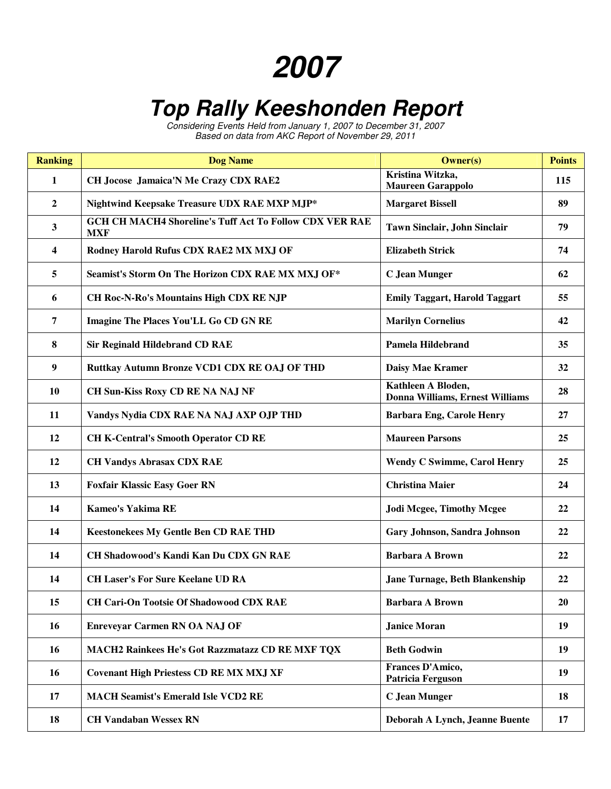## **2007**

## **Top Rally Keeshonden Report**

Considering Events Held from January 1, 2007 to December 31, 2007 Based on data from AKC Report of November 29, 2011

| <b>Ranking</b>   | <b>Dog Name</b>                                                              | <b>Owner(s)</b>                                       | <b>Points</b> |
|------------------|------------------------------------------------------------------------------|-------------------------------------------------------|---------------|
| 1                | CH Jocose Jamaica'N Me Crazy CDX RAE2                                        | Kristina Witzka,<br><b>Maureen Garappolo</b>          | 115           |
| $\boldsymbol{2}$ | Nightwind Keepsake Treasure UDX RAE MXP MJP*                                 | <b>Margaret Bissell</b>                               | 89            |
| 3                | <b>GCH CH MACH4 Shoreline's Tuff Act To Follow CDX VER RAE</b><br><b>MXF</b> | Tawn Sinclair, John Sinclair                          | 79            |
| 4                | Rodney Harold Rufus CDX RAE2 MX MXJ OF                                       | <b>Elizabeth Strick</b>                               | 74            |
| 5                | Seamist's Storm On The Horizon CDX RAE MX MXJ OF*                            | <b>C</b> Jean Munger                                  | 62            |
| 6                | <b>CH Roc-N-Ro's Mountains High CDX RE NJP</b>                               | <b>Emily Taggart, Harold Taggart</b>                  | 55            |
| 7                | <b>Imagine The Places You'LL Go CD GN RE</b>                                 | <b>Marilyn Cornelius</b>                              | 42            |
| 8                | <b>Sir Reginald Hildebrand CD RAE</b>                                        | <b>Pamela Hildebrand</b>                              | 35            |
| 9                | Ruttkay Autumn Bronze VCD1 CDX RE OAJ OF THD                                 | <b>Daisy Mae Kramer</b>                               | 32            |
| <b>10</b>        | CH Sun-Kiss Roxy CD RE NA NAJ NF                                             | Kathleen A Bloden,<br>Donna Williams, Ernest Williams | 28            |
| 11               | Vandys Nydia CDX RAE NA NAJ AXP OJP THD                                      | <b>Barbara Eng, Carole Henry</b>                      | 27            |
| 12               | <b>CH K-Central's Smooth Operator CD RE</b>                                  | <b>Maureen Parsons</b>                                | 25            |
| 12               | <b>CH Vandys Abrasax CDX RAE</b>                                             | <b>Wendy C Swimme, Carol Henry</b>                    | 25            |
| 13               | <b>Foxfair Klassic Easy Goer RN</b>                                          | <b>Christina Maier</b>                                | 24            |
| 14               | <b>Kameo's Yakima RE</b>                                                     | <b>Jodi Mcgee, Timothy Mcgee</b>                      | 22            |
| 14               | <b>Keestonekees My Gentle Ben CD RAE THD</b>                                 | Gary Johnson, Sandra Johnson                          | 22            |
| 14               | CH Shadowood's Kandi Kan Du CDX GN RAE                                       | <b>Barbara A Brown</b>                                | 22            |
| 14               | <b>CH Laser's For Sure Keelane UD RA</b>                                     | <b>Jane Turnage, Beth Blankenship</b>                 | 22            |
| 15               | <b>CH Cari-On Tootsie Of Shadowood CDX RAE</b>                               | <b>Barbara A Brown</b>                                | <b>20</b>     |
| 16               | <b>Enreveyar Carmen RN OA NAJ OF</b>                                         | <b>Janice Moran</b>                                   | 19            |
| 16               | MACH2 Rainkees He's Got Razzmatazz CD RE MXF TQX                             | <b>Beth Godwin</b>                                    | 19            |
| 16               | <b>Covenant High Priestess CD RE MX MXJ XF</b>                               | Frances D'Amico,<br><b>Patricia Ferguson</b>          | 19            |
| 17               | <b>MACH Seamist's Emerald Isle VCD2 RE</b>                                   | C Jean Munger                                         | 18            |
| 18               | <b>CH Vandaban Wessex RN</b>                                                 | Deborah A Lynch, Jeanne Buente                        | 17            |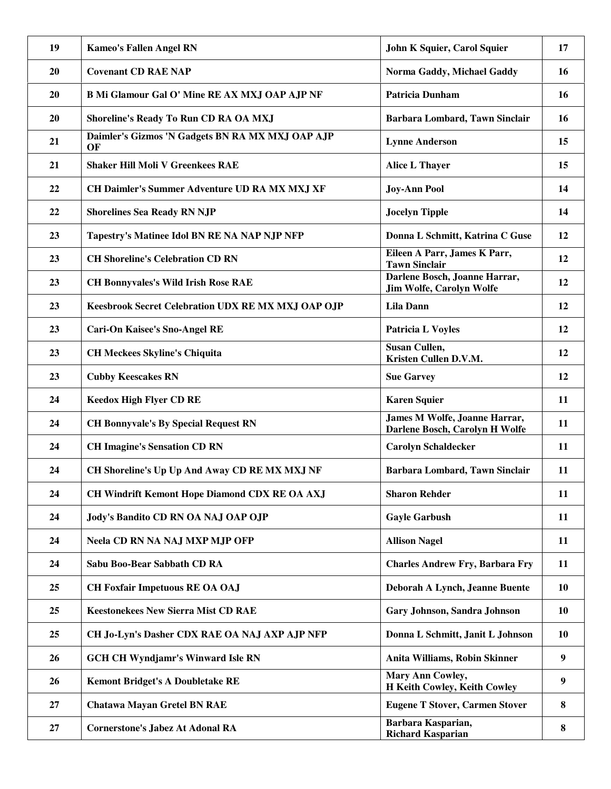| 19 | <b>Kameo's Fallen Angel RN</b>                         | John K Squier, Carol Squier                                      | 17        |
|----|--------------------------------------------------------|------------------------------------------------------------------|-----------|
| 20 | <b>Covenant CD RAE NAP</b>                             | Norma Gaddy, Michael Gaddy                                       | 16        |
| 20 | <b>B Mi Glamour Gal O' Mine RE AX MXJ OAP AJP NF</b>   | <b>Patricia Dunham</b>                                           | 16        |
| 20 | Shoreline's Ready To Run CD RA OA MXJ                  | Barbara Lombard, Tawn Sinclair                                   | 16        |
| 21 | Daimler's Gizmos 'N Gadgets BN RA MX MXJ OAP AJP<br>OF | <b>Lynne Anderson</b>                                            | 15        |
| 21 | <b>Shaker Hill Moli V Greenkees RAE</b>                | <b>Alice L Thayer</b>                                            | 15        |
| 22 | CH Daimler's Summer Adventure UD RA MX MXJ XF          | <b>Joy-Ann Pool</b>                                              | 14        |
| 22 | <b>Shorelines Sea Ready RN NJP</b>                     | <b>Jocelyn Tipple</b>                                            | 14        |
| 23 | Tapestry's Matinee Idol BN RE NA NAP NJP NFP           | Donna L Schmitt, Katrina C Guse                                  | 12        |
| 23 | <b>CH Shoreline's Celebration CD RN</b>                | Eileen A Parr, James K Parr,<br><b>Tawn Sinclair</b>             | 12        |
| 23 | <b>CH Bonnyvales's Wild Irish Rose RAE</b>             | Darlene Bosch, Joanne Harrar,<br><b>Jim Wolfe, Carolyn Wolfe</b> | 12        |
| 23 | Keesbrook Secret Celebration UDX RE MX MXJ OAP OJP     | <b>Lila Dann</b>                                                 | 12        |
| 23 | <b>Cari-On Kaisee's Sno-Angel RE</b>                   | <b>Patricia L Voyles</b>                                         | 12        |
| 23 | <b>CH Meckees Skyline's Chiquita</b>                   | Susan Cullen,<br>Kristen Cullen D.V.M.                           | 12        |
| 23 | <b>Cubby Keescakes RN</b>                              | <b>Sue Garvey</b>                                                | 12        |
| 24 | <b>Keedox High Flyer CD RE</b>                         | <b>Karen Squier</b>                                              | <b>11</b> |
| 24 | <b>CH Bonnyvale's By Special Request RN</b>            | James M Wolfe, Joanne Harrar,<br>Darlene Bosch, Carolyn H Wolfe  | <b>11</b> |
| 24 | <b>CH Imagine's Sensation CD RN</b>                    | <b>Carolyn Schaldecker</b>                                       | 11        |
| 24 | CH Shoreline's Up Up And Away CD RE MX MXJ NF          | Barbara Lombard, Tawn Sinclair                                   | 11        |
| 24 | <b>CH Windrift Kemont Hope Diamond CDX RE OA AXJ</b>   | <b>Sharon Rehder</b>                                             | 11        |
| 24 | Jody's Bandito CD RN OA NAJ OAP OJP                    | <b>Gayle Garbush</b>                                             | 11        |
| 24 | <b>Neela CD RN NA NAJ MXP MJP OFP</b>                  | <b>Allison Nagel</b>                                             | 11        |
| 24 | Sabu Boo-Bear Sabbath CD RA                            | <b>Charles Andrew Fry, Barbara Fry</b>                           | 11        |
| 25 | <b>CH Foxfair Impetuous RE OA OAJ</b>                  | Deborah A Lynch, Jeanne Buente                                   | 10        |
| 25 | <b>Keestonekees New Sierra Mist CD RAE</b>             | Gary Johnson, Sandra Johnson                                     | 10        |
| 25 | CH Jo-Lyn's Dasher CDX RAE OA NAJ AXP AJP NFP          | Donna L Schmitt, Janit L Johnson                                 | 10        |
| 26 | <b>GCH CH Wyndjamr's Winward Isle RN</b>               | Anita Williams, Robin Skinner                                    | 9         |
| 26 | <b>Kemont Bridget's A Doubletake RE</b>                | Mary Ann Cowley,<br>H Keith Cowley, Keith Cowley                 | 9         |
| 27 | <b>Chatawa Mayan Gretel BN RAE</b>                     | <b>Eugene T Stover, Carmen Stover</b>                            | 8         |
| 27 | <b>Cornerstone's Jabez At Adonal RA</b>                | Barbara Kasparian,<br><b>Richard Kasparian</b>                   | 8         |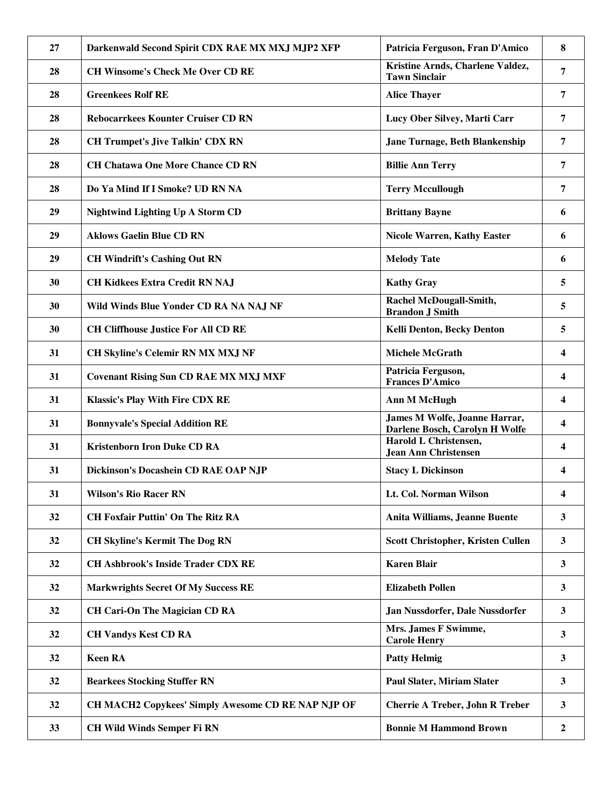| 27 | Darkenwald Second Spirit CDX RAE MX MXJ MJP2 XFP   | Patricia Ferguson, Fran D'Amico                                        | 8              |
|----|----------------------------------------------------|------------------------------------------------------------------------|----------------|
| 28 | <b>CH Winsome's Check Me Over CD RE</b>            | Kristine Arnds, Charlene Valdez,<br><b>Tawn Sinclair</b>               | $\overline{7}$ |
| 28 | <b>Greenkees Rolf RE</b>                           | <b>Alice Thayer</b>                                                    | $\overline{7}$ |
| 28 | <b>Rebocarrkees Kounter Cruiser CD RN</b>          | Lucy Ober Silvey, Marti Carr                                           | $\overline{7}$ |
| 28 | <b>CH Trumpet's Jive Talkin' CDX RN</b>            | Jane Turnage, Beth Blankenship                                         | $\overline{7}$ |
| 28 | <b>CH Chatawa One More Chance CD RN</b>            | <b>Billie Ann Terry</b>                                                | 7              |
| 28 | Do Ya Mind If I Smoke? UD RN NA                    | <b>Terry Mccullough</b>                                                | 7              |
| 29 | <b>Nightwind Lighting Up A Storm CD</b>            | <b>Brittany Bayne</b>                                                  | 6              |
| 29 | <b>Aklows Gaelin Blue CD RN</b>                    | <b>Nicole Warren, Kathy Easter</b>                                     | 6              |
| 29 | <b>CH Windrift's Cashing Out RN</b>                | <b>Melody Tate</b>                                                     | 6              |
| 30 | <b>CH Kidkees Extra Credit RN NAJ</b>              | <b>Kathy Gray</b>                                                      | 5              |
| 30 | Wild Winds Blue Yonder CD RA NA NAJ NF             | Rachel McDougall-Smith,<br><b>Brandon J Smith</b>                      | 5              |
| 30 | <b>CH Cliffhouse Justice For All CD RE</b>         | Kelli Denton, Becky Denton                                             | 5              |
| 31 | <b>CH Skyline's Celemir RN MX MXJ NF</b>           | <b>Michele McGrath</b>                                                 | 4              |
| 31 | <b>Covenant Rising Sun CD RAE MX MXJ MXF</b>       | Patricia Ferguson,<br><b>Frances D'Amico</b>                           | 4              |
| 31 | <b>Klassic's Play With Fire CDX RE</b>             | <b>Ann M McHugh</b>                                                    | 4              |
| 31 | <b>Bonnyvale's Special Addition RE</b>             | <b>James M Wolfe, Joanne Harrar,</b><br>Darlene Bosch, Carolyn H Wolfe | 4              |
| 31 | <b>Kristenborn Iron Duke CD RA</b>                 | Harold L Christensen,<br><b>Jean Ann Christensen</b>                   | 4              |
| 31 | Dickinson's Docashein CD RAE OAP NJP               | <b>Stacy L Dickinson</b>                                               | 4              |
| 31 | <b>Wilson's Rio Racer RN</b>                       | Lt. Col. Norman Wilson                                                 | 4              |
| 32 | <b>CH Foxfair Puttin' On The Ritz RA</b>           | Anita Williams, Jeanne Buente                                          | 3              |
| 32 | <b>CH Skyline's Kermit The Dog RN</b>              | Scott Christopher, Kristen Cullen                                      | $\mathbf{3}$   |
| 32 | <b>CH Ashbrook's Inside Trader CDX RE</b>          | <b>Karen Blair</b>                                                     | $\mathbf{3}$   |
| 32 | <b>Markwrights Secret Of My Success RE</b>         | <b>Elizabeth Pollen</b>                                                | 3              |
| 32 | <b>CH Cari-On The Magician CD RA</b>               | Jan Nussdorfer, Dale Nussdorfer                                        | $\mathbf{3}$   |
| 32 | <b>CH Vandys Kest CD RA</b>                        | Mrs. James F Swimme,<br><b>Carole Henry</b>                            | $\mathbf{3}$   |
| 32 | <b>Keen RA</b>                                     | <b>Patty Helmig</b>                                                    | $\mathbf{3}$   |
| 32 | <b>Bearkees Stocking Stuffer RN</b>                | <b>Paul Slater, Miriam Slater</b>                                      | $\mathbf{3}$   |
| 32 | CH MACH2 Copykees' Simply Awesome CD RE NAP NJP OF | <b>Cherrie A Treber, John R Treber</b>                                 | $\mathbf{3}$   |
| 33 | <b>CH Wild Winds Semper Fi RN</b>                  | <b>Bonnie M Hammond Brown</b>                                          | $\overline{2}$ |
|    |                                                    |                                                                        |                |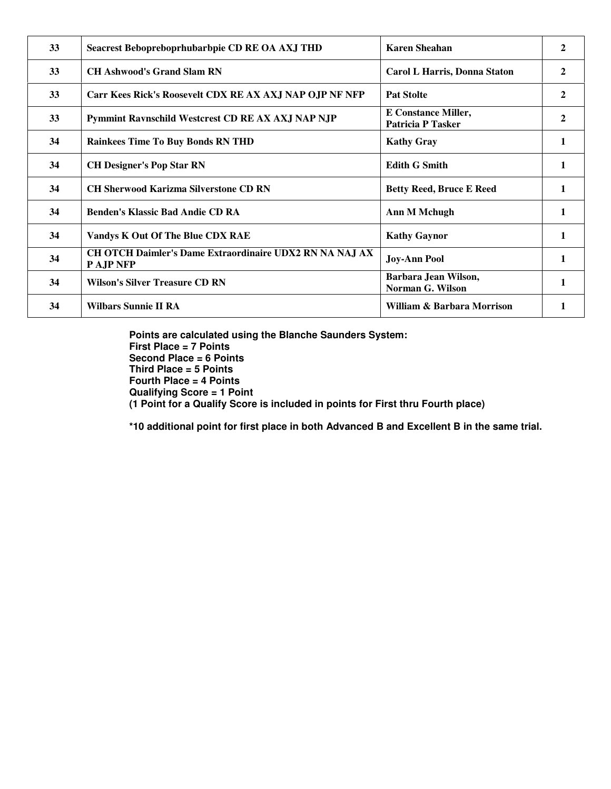| 33 | Seacrest Bebopreboprhubarbpie CD RE OA AXJ THD                       | <b>Karen Sheahan</b>                                   | 2            |
|----|----------------------------------------------------------------------|--------------------------------------------------------|--------------|
| 33 | <b>CH Ashwood's Grand Slam RN</b>                                    | Carol L Harris, Donna Staton                           | 2            |
| 33 | Carr Kees Rick's Roosevelt CDX RE AX AXJ NAP OJP NF NFP              | <b>Pat Stolte</b>                                      | 2            |
| 33 | Pymmint Ravnschild Westcrest CD RE AX AXJ NAP NJP                    | <b>E</b> Constance Miller,<br><b>Patricia P Tasker</b> | 2            |
| 34 | <b>Rainkees Time To Buy Bonds RN THD</b>                             | <b>Kathy Gray</b>                                      | $\mathbf{1}$ |
| 34 | <b>CH Designer's Pop Star RN</b>                                     | <b>Edith G Smith</b>                                   | 1            |
| 34 | <b>CH Sherwood Karizma Silverstone CD RN</b>                         | <b>Betty Reed, Bruce E Reed</b>                        |              |
| 34 | <b>Benden's Klassic Bad Andie CD RA</b>                              | Ann M Mchugh                                           |              |
| 34 | Vandys K Out Of The Blue CDX RAE                                     | <b>Kathy Gaynor</b>                                    |              |
| 34 | CH OTCH Daimler's Dame Extraordinaire UDX2 RN NA NAJ AX<br>P AJP NFP | <b>Joy-Ann Pool</b>                                    | $\mathbf{1}$ |
| 34 | <b>Wilson's Silver Treasure CD RN</b>                                | Barbara Jean Wilson,<br>Norman G. Wilson               | 1            |
| 34 | <b>Wilbars Sunnie II RA</b>                                          | William & Barbara Morrison                             |              |

**Points are calculated using the Blanche Saunders System: First Place = 7 Points Second Place = 6 Points Third Place = 5 Points Fourth Place = 4 Points Qualifying Score = 1 Point (1 Point for a Qualify Score is included in points for First thru Fourth place)** 

**\*10 additional point for first place in both Advanced B and Excellent B in the same trial.**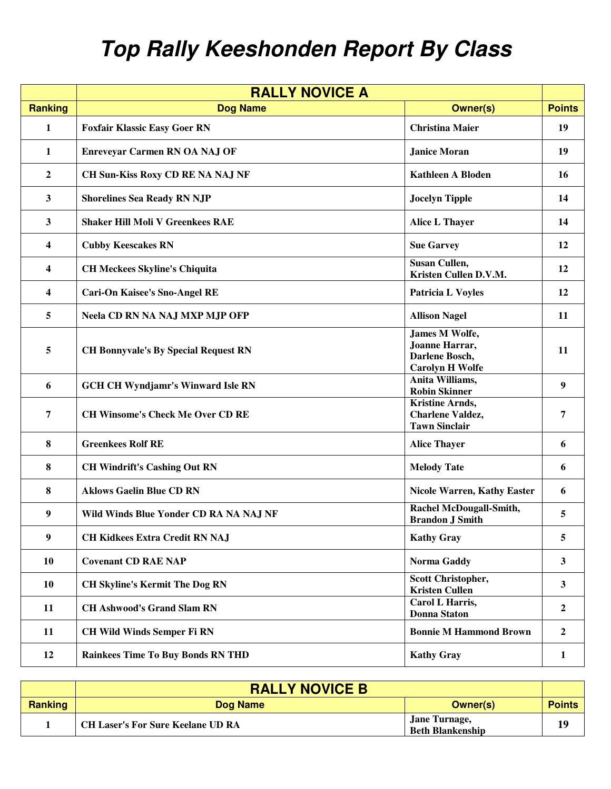## **Top Rally Keeshonden Report By Class**

| <b>RALLY NOVICE A</b> |                                             |                                                                                     |                |
|-----------------------|---------------------------------------------|-------------------------------------------------------------------------------------|----------------|
| <b>Ranking</b>        | <b>Dog Name</b>                             | <b>Owner(s)</b>                                                                     | <b>Points</b>  |
| 1                     | <b>Foxfair Klassic Easy Goer RN</b>         | <b>Christina Maier</b>                                                              | 19             |
| 1                     | <b>Enreveyar Carmen RN OA NAJ OF</b>        | <b>Janice Moran</b>                                                                 | 19             |
| $\boldsymbol{2}$      | CH Sun-Kiss Roxy CD RE NA NAJ NF            | <b>Kathleen A Bloden</b>                                                            | 16             |
| 3                     | <b>Shorelines Sea Ready RN NJP</b>          | <b>Jocelyn Tipple</b>                                                               | 14             |
| 3                     | <b>Shaker Hill Moli V Greenkees RAE</b>     | Alice L Thayer                                                                      | 14             |
| 4                     | <b>Cubby Keescakes RN</b>                   | <b>Sue Garvey</b>                                                                   | 12             |
| 4                     | <b>CH Meckees Skyline's Chiquita</b>        | Susan Cullen,<br>Kristen Cullen D.V.M.                                              | 12             |
| 4                     | <b>Cari-On Kaisee's Sno-Angel RE</b>        | <b>Patricia L Voyles</b>                                                            | 12             |
| 5                     | <b>Neela CD RN NA NAJ MXP MJP OFP</b>       | <b>Allison Nagel</b>                                                                | 11             |
| 5                     | <b>CH Bonnyvale's By Special Request RN</b> | <b>James M Wolfe,</b><br>Joanne Harrar,<br>Darlene Bosch,<br><b>Carolyn H Wolfe</b> | 11             |
| 6                     | <b>GCH CH Wyndjamr's Winward Isle RN</b>    | Anita Williams,<br><b>Robin Skinner</b>                                             | 9              |
| 7                     | <b>CH Winsome's Check Me Over CD RE</b>     | <b>Kristine Arnds,</b><br><b>Charlene Valdez,</b><br><b>Tawn Sinclair</b>           | 7              |
| 8                     | <b>Greenkees Rolf RE</b>                    | <b>Alice Thayer</b>                                                                 | 6              |
| 8                     | <b>CH Windrift's Cashing Out RN</b>         | <b>Melody Tate</b>                                                                  | 6              |
| 8                     | <b>Aklows Gaelin Blue CD RN</b>             | <b>Nicole Warren, Kathy Easter</b>                                                  | 6              |
| 9                     | Wild Winds Blue Yonder CD RA NA NAJ NF      | Rachel McDougall-Smith,<br><b>Brandon J Smith</b>                                   | 5              |
| 9                     | <b>CH Kidkees Extra Credit RN NAJ</b>       | <b>Kathy Gray</b>                                                                   | 5              |
| 10                    | <b>Covenant CD RAE NAP</b>                  | Norma Gaddy                                                                         | $\mathbf{3}$   |
| 10                    | <b>CH Skyline's Kermit The Dog RN</b>       | <b>Scott Christopher,</b><br><b>Kristen Cullen</b>                                  | $\mathbf{3}$   |
| 11                    | <b>CH Ashwood's Grand Slam RN</b>           | Carol L Harris,<br><b>Donna Staton</b>                                              | $\overline{2}$ |
| 11                    | <b>CH Wild Winds Semper Fi RN</b>           | <b>Bonnie M Hammond Brown</b>                                                       | $\overline{2}$ |
| 12                    | <b>Rainkees Time To Buy Bonds RN THD</b>    | <b>Kathy Gray</b>                                                                   | $\mathbf{1}$   |

|                | <b>RALLY NOVICE B</b>                    |                                          |               |
|----------------|------------------------------------------|------------------------------------------|---------------|
| <b>Ranking</b> | Dog Name                                 | Owner(s)                                 | <b>Points</b> |
|                | <b>CH Laser's For Sure Keelane UD RA</b> | Jane Turnage,<br><b>Beth Blankenship</b> | 19            |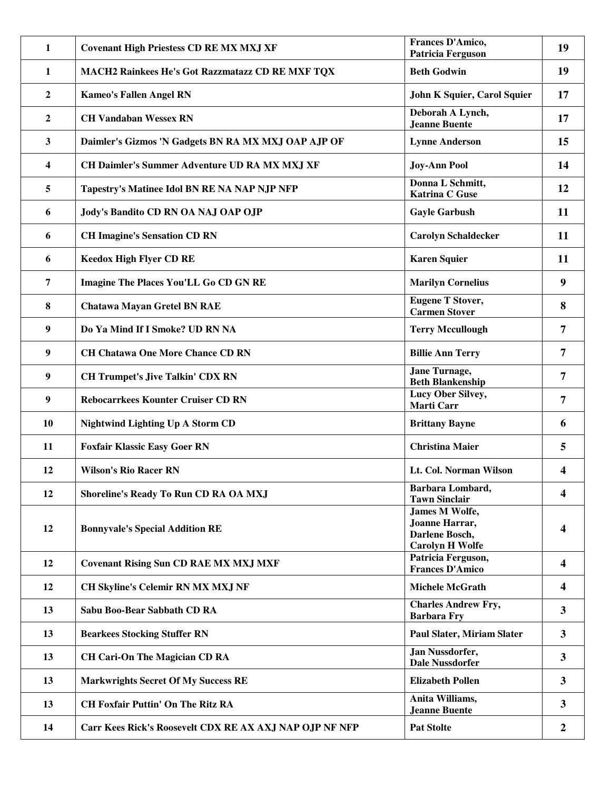| 1              | <b>Covenant High Priestess CD RE MX MXJ XF</b>          | Frances D'Amico,<br><b>Patricia Ferguson</b>                                 | 19                      |
|----------------|---------------------------------------------------------|------------------------------------------------------------------------------|-------------------------|
| 1              | MACH2 Rainkees He's Got Razzmatazz CD RE MXF TQX        | <b>Beth Godwin</b>                                                           | 19                      |
| $\overline{2}$ | <b>Kameo's Fallen Angel RN</b>                          | John K Squier, Carol Squier                                                  | 17                      |
| 2              | <b>CH Vandaban Wessex RN</b>                            | Deborah A Lynch,<br><b>Jeanne Buente</b>                                     | 17                      |
| 3              | Daimler's Gizmos 'N Gadgets BN RA MX MXJ OAP AJP OF     | <b>Lynne Anderson</b>                                                        | 15                      |
| 4              | CH Daimler's Summer Adventure UD RA MX MXJ XF           | <b>Joy-Ann Pool</b>                                                          | 14                      |
| 5              | Tapestry's Matinee Idol BN RE NA NAP NJP NFP            | Donna L Schmitt,<br><b>Katrina C Guse</b>                                    | 12                      |
| 6              | Jody's Bandito CD RN OA NAJ OAP OJP                     | <b>Gayle Garbush</b>                                                         | 11                      |
| 6              | <b>CH Imagine's Sensation CD RN</b>                     | <b>Carolyn Schaldecker</b>                                                   | 11                      |
| 6              | <b>Keedox High Flyer CD RE</b>                          | <b>Karen Squier</b>                                                          | 11                      |
| 7              | <b>Imagine The Places You'LL Go CD GN RE</b>            | <b>Marilyn Cornelius</b>                                                     | 9                       |
| 8              | <b>Chatawa Mayan Gretel BN RAE</b>                      | <b>Eugene T Stover,</b><br><b>Carmen Stover</b>                              | 8                       |
| 9              | Do Ya Mind If I Smoke? UD RN NA                         | <b>Terry Mccullough</b>                                                      | 7                       |
| 9              | <b>CH Chatawa One More Chance CD RN</b>                 | <b>Billie Ann Terry</b>                                                      | $\overline{7}$          |
| 9              | <b>CH Trumpet's Jive Talkin' CDX RN</b>                 | Jane Turnage,<br><b>Beth Blankenship</b>                                     | 7                       |
| 9              | <b>Rebocarrkees Kounter Cruiser CD RN</b>               | Lucy Ober Silvey,<br>Marti Carr                                              | $\overline{7}$          |
| <b>10</b>      | <b>Nightwind Lighting Up A Storm CD</b>                 | <b>Brittany Bayne</b>                                                        | 6                       |
| 11             | <b>Foxfair Klassic Easy Goer RN</b>                     | <b>Christina Maier</b>                                                       | 5                       |
| 12             | <b>Wilson's Rio Racer RN</b>                            | Lt. Col. Norman Wilson                                                       | 4                       |
| 12             | Shoreline's Ready To Run CD RA OA MXJ                   | Barbara Lombard,<br><b>Tawn Sinclair</b>                                     | 4                       |
| 12             | <b>Bonnyvale's Special Addition RE</b>                  | James M Wolfe,<br>Joanne Harrar,<br>Darlene Bosch,<br><b>Carolyn H Wolfe</b> | 4                       |
| 12             | <b>Covenant Rising Sun CD RAE MX MXJ MXF</b>            | Patricia Ferguson,<br><b>Frances D'Amico</b>                                 | $\overline{\mathbf{4}}$ |
| 12             | <b>CH Skyline's Celemir RN MX MXJ NF</b>                | <b>Michele McGrath</b>                                                       | $\overline{\mathbf{4}}$ |
| 13             | Sabu Boo-Bear Sabbath CD RA                             | <b>Charles Andrew Fry,</b><br><b>Barbara Fry</b>                             | $\overline{\mathbf{3}}$ |
| 13             | <b>Bearkees Stocking Stuffer RN</b>                     | <b>Paul Slater, Miriam Slater</b>                                            | $\overline{\mathbf{3}}$ |
| 13             | <b>CH Cari-On The Magician CD RA</b>                    | Jan Nussdorfer,<br><b>Dale Nussdorfer</b>                                    | $\overline{\mathbf{3}}$ |
| 13             | <b>Markwrights Secret Of My Success RE</b>              | <b>Elizabeth Pollen</b>                                                      | $\mathbf{3}$            |
| 13             | <b>CH Foxfair Puttin' On The Ritz RA</b>                | Anita Williams,<br><b>Jeanne Buente</b>                                      | $\mathbf{3}$            |
| 14             | Carr Kees Rick's Roosevelt CDX RE AX AXJ NAP OJP NF NFP | <b>Pat Stolte</b>                                                            | 2                       |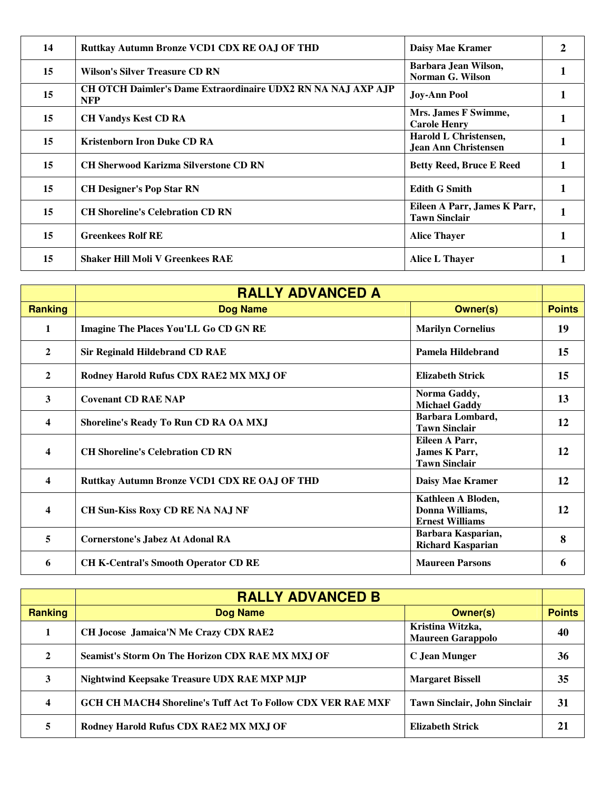| 14 | Ruttkay Autumn Bronze VCD1 CDX RE OAJ OF THD                                      | Daisy Mae Kramer                                     |  |
|----|-----------------------------------------------------------------------------------|------------------------------------------------------|--|
| 15 | Wilson's Silver Treasure CD RN                                                    | Barbara Jean Wilson,<br>Norman G. Wilson             |  |
| 15 | <b>CH OTCH Daimler's Dame Extraordinaire UDX2 RN NA NAJ AXP AJP</b><br><b>NFP</b> | <b>Joy-Ann Pool</b>                                  |  |
| 15 | <b>CH Vandys Kest CD RA</b>                                                       | Mrs. James F Swimme,<br><b>Carole Henry</b>          |  |
| 15 | <b>Kristenborn Iron Duke CD RA</b>                                                | Harold L Christensen,<br><b>Jean Ann Christensen</b> |  |
| 15 | <b>CH Sherwood Karizma Silverstone CD RN</b>                                      | <b>Betty Reed, Bruce E Reed</b>                      |  |
| 15 | <b>CH Designer's Pop Star RN</b>                                                  | <b>Edith G Smith</b>                                 |  |
| 15 | <b>CH Shoreline's Celebration CD RN</b>                                           | Eileen A Parr, James K Parr,<br><b>Tawn Sinclair</b> |  |
| 15 | <b>Greenkees Rolf RE</b>                                                          | <b>Alice Thayer</b>                                  |  |
| 15 | <b>Shaker Hill Moli V Greenkees RAE</b>                                           | Alice L Thayer                                       |  |

|                | <b>RALLY ADVANCED A</b>                      |                                                                 |               |
|----------------|----------------------------------------------|-----------------------------------------------------------------|---------------|
| <b>Ranking</b> | <b>Dog Name</b>                              | <b>Owner(s)</b>                                                 | <b>Points</b> |
| $\mathbf{1}$   | Imagine The Places You'LL Go CD GN RE        | <b>Marilyn Cornelius</b>                                        | 19            |
| $\overline{2}$ | <b>Sir Reginald Hildebrand CD RAE</b>        | Pamela Hildebrand                                               | 15            |
| $\mathbf{2}$   | Rodney Harold Rufus CDX RAE2 MX MXJ OF       | <b>Elizabeth Strick</b>                                         | 15            |
| 3              | <b>Covenant CD RAE NAP</b>                   | Norma Gaddy,<br><b>Michael Gaddy</b>                            | 13            |
| 4              | Shoreline's Ready To Run CD RA OA MXJ        | Barbara Lombard,<br><b>Tawn Sinclair</b>                        | 12            |
| 4              | <b>CH Shoreline's Celebration CD RN</b>      | Eileen A Parr,<br><b>James K Parr,</b><br><b>Tawn Sinclair</b>  | 12            |
| 4              | Ruttkay Autumn Bronze VCD1 CDX RE OAJ OF THD | Daisy Mae Kramer                                                | 12            |
| 4              | <b>CH Sun-Kiss Roxy CD RE NA NAJ NF</b>      | Kathleen A Bloden,<br>Donna Williams,<br><b>Ernest Williams</b> | 12            |
| 5              | <b>Cornerstone's Jabez At Adonal RA</b>      | Barbara Kasparian,<br><b>Richard Kasparian</b>                  | 8             |
| 6              | <b>CH K-Central's Smooth Operator CD RE</b>  | <b>Maureen Parsons</b>                                          | 6             |

|         | <b>RALLY ADVANCED B</b>                                            |                                              |               |
|---------|--------------------------------------------------------------------|----------------------------------------------|---------------|
| Ranking | <b>Dog Name</b>                                                    | <b>Owner(s)</b>                              | <b>Points</b> |
|         | CH Jocose Jamaica'N Me Crazy CDX RAE2                              | Kristina Witzka,<br><b>Maureen Garappolo</b> | 40            |
| 2       | Seamist's Storm On The Horizon CDX RAE MX MXJ OF                   | C Jean Munger                                | 36            |
| 3       | Nightwind Keepsake Treasure UDX RAE MXP MJP                        | <b>Margaret Bissell</b>                      | 35            |
| 4       | <b>GCH CH MACH4 Shoreline's Tuff Act To Follow CDX VER RAE MXF</b> | Tawn Sinclair, John Sinclair                 | 31            |
| 5       | Rodney Harold Rufus CDX RAE2 MX MXJ OF                             | <b>Elizabeth Strick</b>                      | 21            |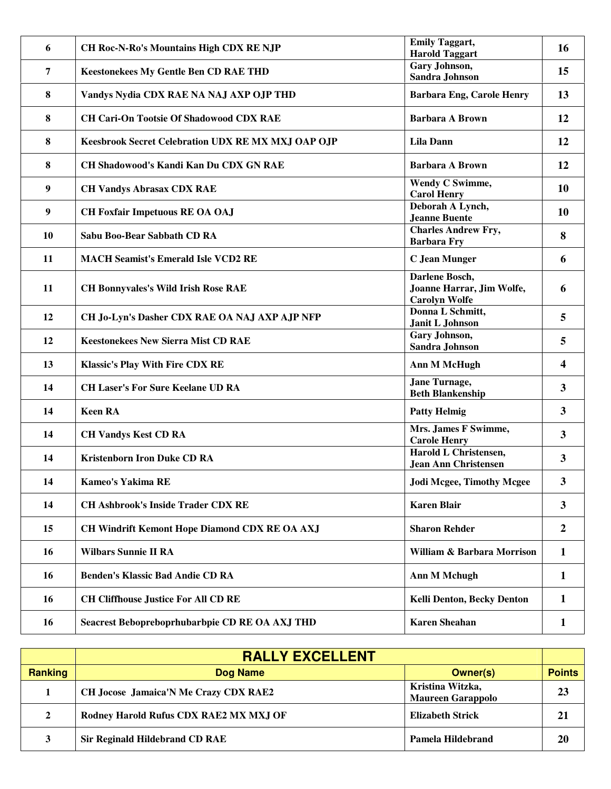| 6              | <b>CH Roc-N-Ro's Mountains High CDX RE NJP</b>     | <b>Emily Taggart,</b><br><b>Harold Taggart</b>                      | 16                      |
|----------------|----------------------------------------------------|---------------------------------------------------------------------|-------------------------|
| $\overline{7}$ | <b>Keestonekees My Gentle Ben CD RAE THD</b>       | Gary Johnson,<br>Sandra Johnson                                     | 15                      |
| 8              | Vandys Nydia CDX RAE NA NAJ AXP OJP THD            | <b>Barbara Eng, Carole Henry</b>                                    | 13                      |
| 8              | <b>CH Cari-On Tootsie Of Shadowood CDX RAE</b>     | <b>Barbara A Brown</b>                                              | 12                      |
| 8              | Keesbrook Secret Celebration UDX RE MX MXJ OAP OJP | <b>Lila Dann</b>                                                    | 12                      |
| 8              | CH Shadowood's Kandi Kan Du CDX GN RAE             | <b>Barbara A Brown</b>                                              | 12                      |
| 9              | <b>CH Vandys Abrasax CDX RAE</b>                   | Wendy C Swimme,<br><b>Carol Henry</b>                               | 10                      |
| 9              | <b>CH Foxfair Impetuous RE OA OAJ</b>              | Deborah A Lynch,<br><b>Jeanne Buente</b>                            | 10                      |
| <b>10</b>      | Sabu Boo-Bear Sabbath CD RA                        | <b>Charles Andrew Fry,</b><br><b>Barbara Fry</b>                    | 8                       |
| 11             | <b>MACH Seamist's Emerald Isle VCD2 RE</b>         | <b>C</b> Jean Munger                                                | 6                       |
| 11             | <b>CH Bonnyvales's Wild Irish Rose RAE</b>         | Darlene Bosch,<br>Joanne Harrar, Jim Wolfe,<br><b>Carolyn Wolfe</b> | 6                       |
| 12             | CH Jo-Lyn's Dasher CDX RAE OA NAJ AXP AJP NFP      | Donna L Schmitt,<br>Janit L Johnson                                 | 5                       |
| 12             | <b>Keestonekees New Sierra Mist CD RAE</b>         | Gary Johnson,<br>Sandra Johnson                                     | 5                       |
| 13             | <b>Klassic's Play With Fire CDX RE</b>             | <b>Ann M McHugh</b>                                                 | $\overline{\mathbf{4}}$ |
| 14             | <b>CH Laser's For Sure Keelane UD RA</b>           | Jane Turnage,<br><b>Beth Blankenship</b>                            | $\mathbf{3}$            |
| 14             | <b>Keen RA</b>                                     | <b>Patty Helmig</b>                                                 | $\mathbf{3}$            |
| 14             | <b>CH Vandys Kest CD RA</b>                        | Mrs. James F Swimme,<br><b>Carole Henry</b>                         | $\overline{3}$          |
| 14             | <b>Kristenborn Iron Duke CD RA</b>                 | Harold L Christensen,<br><b>Jean Ann Christensen</b>                | $\mathbf{3}$            |
| 14             | Kameo's Yakima RE                                  | <b>Jodi Mcgee, Timothy Mcgee</b>                                    | $3^{\circ}$             |
| 14             | <b>CH Ashbrook's Inside Trader CDX RE</b>          | <b>Karen Blair</b>                                                  | $\mathbf{3}$            |
| 15             | CH Windrift Kemont Hope Diamond CDX RE OA AXJ      | <b>Sharon Rehder</b>                                                | $\overline{2}$          |
| 16             | <b>Wilbars Sunnie II RA</b>                        | William & Barbara Morrison                                          | $\mathbf{1}$            |
| 16             | <b>Benden's Klassic Bad Andie CD RA</b>            | <b>Ann M Mchugh</b>                                                 | $\mathbf{1}$            |
| 16             | <b>CH Cliffhouse Justice For All CD RE</b>         | <b>Kelli Denton, Becky Denton</b>                                   | $\mathbf{1}$            |
| 16             | Seacrest Bebopreboprhubarbpie CD RE OA AXJ THD     | <b>Karen Sheahan</b>                                                | $\mathbf{1}$            |

|                | <b>RALLY EXCELLENT</b>                       |                                              |               |
|----------------|----------------------------------------------|----------------------------------------------|---------------|
| <b>Ranking</b> | <b>Dog Name</b>                              | <b>Owner(s)</b>                              | <b>Points</b> |
|                | <b>CH Jocose Jamaica'N Me Crazy CDX RAE2</b> | Kristina Witzka,<br><b>Maureen Garappolo</b> | 23            |
| $\mathbf{2}$   | Rodney Harold Rufus CDX RAE2 MX MXJ OF       | Elizabeth Strick                             | 21            |
|                | <b>Sir Reginald Hildebrand CD RAE</b>        | Pamela Hildebrand                            | 20            |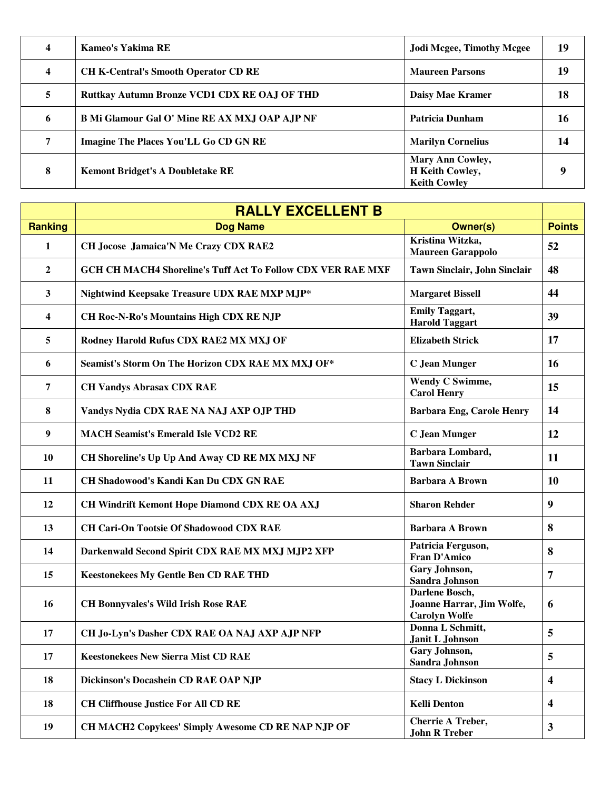| 4                | Kameo's Yakima RE                             | <b>Jodi Mcgee, Timothy Mcgee</b>                                  | 19 |
|------------------|-----------------------------------------------|-------------------------------------------------------------------|----|
| $\boldsymbol{4}$ | <b>CH K-Central's Smooth Operator CD RE</b>   | <b>Maureen Parsons</b>                                            | 19 |
| 5                | Ruttkay Autumn Bronze VCD1 CDX RE OAJ OF THD  | <b>Daisy Mae Kramer</b>                                           | 18 |
| 6                | B Mi Glamour Gal O' Mine RE AX MXJ OAP AJP NF | Patricia Dunham                                                   | 16 |
| 7                | Imagine The Places You'LL Go CD GN RE         | <b>Marilyn Cornelius</b>                                          | 14 |
| 8                | <b>Kemont Bridget's A Doubletake RE</b>       | <b>Mary Ann Cowley,</b><br>H Keith Cowley,<br><b>Keith Cowley</b> | 9  |

|                         | <b>RALLY EXCELLENT B</b>                                           |                                                                     |                         |
|-------------------------|--------------------------------------------------------------------|---------------------------------------------------------------------|-------------------------|
| <b>Ranking</b>          | <b>Dog Name</b>                                                    | <b>Owner(s)</b>                                                     | <b>Points</b>           |
| 1                       | CH Jocose Jamaica'N Me Crazy CDX RAE2                              | Kristina Witzka,<br><b>Maureen Garappolo</b>                        | 52                      |
| $\overline{2}$          | <b>GCH CH MACH4 Shoreline's Tuff Act To Follow CDX VER RAE MXF</b> | Tawn Sinclair, John Sinclair                                        | 48                      |
| 3                       | Nightwind Keepsake Treasure UDX RAE MXP MJP*                       | <b>Margaret Bissell</b>                                             | 44                      |
| $\overline{\mathbf{4}}$ | <b>CH Roc-N-Ro's Mountains High CDX RE NJP</b>                     | <b>Emily Taggart,</b><br><b>Harold Taggart</b>                      | 39                      |
| 5                       | Rodney Harold Rufus CDX RAE2 MX MXJ OF                             | <b>Elizabeth Strick</b>                                             | 17                      |
| 6                       | Seamist's Storm On The Horizon CDX RAE MX MXJ OF*                  | <b>C</b> Jean Munger                                                | 16                      |
| $\overline{7}$          | <b>CH Vandys Abrasax CDX RAE</b>                                   | Wendy C Swimme,<br><b>Carol Henry</b>                               | 15                      |
| 8                       | Vandys Nydia CDX RAE NA NAJ AXP OJP THD                            | <b>Barbara Eng, Carole Henry</b>                                    | 14                      |
| $\boldsymbol{9}$        | <b>MACH Seamist's Emerald Isle VCD2 RE</b>                         | C Jean Munger                                                       | 12                      |
| <b>10</b>               | CH Shoreline's Up Up And Away CD RE MX MXJ NF                      | Barbara Lombard,<br><b>Tawn Sinclair</b>                            | 11                      |
| 11                      | CH Shadowood's Kandi Kan Du CDX GN RAE                             | <b>Barbara A Brown</b>                                              | <b>10</b>               |
| 12                      | <b>CH Windrift Kemont Hope Diamond CDX RE OA AXJ</b>               | <b>Sharon Rehder</b>                                                | 9                       |
| 13                      | <b>CH Cari-On Tootsie Of Shadowood CDX RAE</b>                     | <b>Barbara A Brown</b>                                              | 8                       |
| 14                      | Darkenwald Second Spirit CDX RAE MX MXJ MJP2 XFP                   | Patricia Ferguson,<br><b>Fran D'Amico</b>                           | 8                       |
| 15                      | <b>Keestonekees My Gentle Ben CD RAE THD</b>                       | Gary Johnson,<br>Sandra Johnson                                     | 7                       |
| 16                      | <b>CH Bonnyvales's Wild Irish Rose RAE</b>                         | Darlene Bosch,<br>Joanne Harrar, Jim Wolfe,<br><b>Carolyn Wolfe</b> | 6                       |
| 17                      | CH Jo-Lyn's Dasher CDX RAE OA NAJ AXP AJP NFP                      | Donna L Schmitt,<br>Janit L Johnson                                 | 5                       |
| 17                      | <b>Keestonekees New Sierra Mist CD RAE</b>                         | Gary Johnson,<br><b>Sandra Johnson</b>                              | 5                       |
| 18                      | Dickinson's Docashein CD RAE OAP NJP                               | <b>Stacy L Dickinson</b>                                            | $\overline{\mathbf{4}}$ |
| 18                      | <b>CH Cliffhouse Justice For All CD RE</b>                         | <b>Kelli Denton</b>                                                 | $\overline{\mathbf{4}}$ |
| 19                      | CH MACH2 Copykees' Simply Awesome CD RE NAP NJP OF                 | <b>Cherrie A Treber,</b><br><b>John R Treber</b>                    | $\mathbf{3}$            |